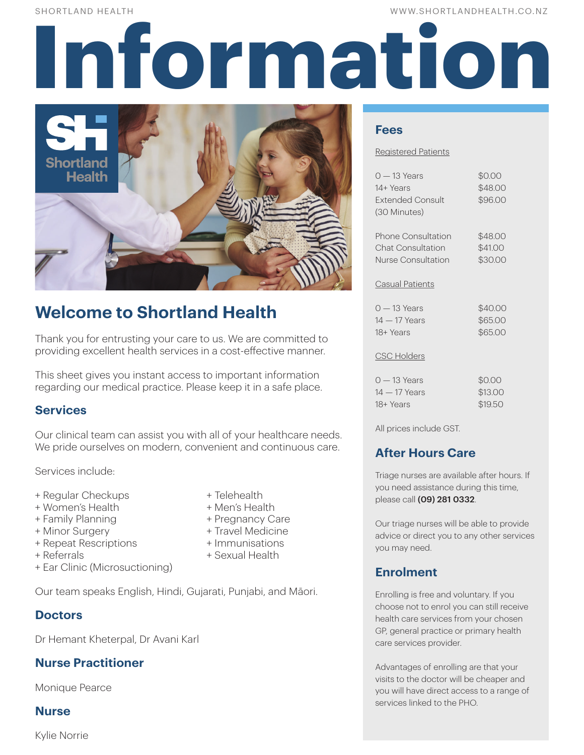WW.SHORTLANDHEALTH.CO.NZ

# SHORTLAND HEALTH<br> **Information of the contract of the contract of the contract of the contract of the contract of the contract of the contract of the contract of the contract of the contract of the contract of the contract**



# **Welcome to Shortland Health**

Thank you for entrusting your care to us. We are committed to providing excellent health services in a cost-effective manner.

This sheet gives you instant access to important information regarding our medical practice. Please keep it in a safe place.

# **Services**

Our clinical team can assist you with all of your healthcare needs. We pride ourselves on modern, convenient and continuous care.

Services include:

- + Regular Checkups + Telehealth
- + Women's Health + Men's Health
- 
- 
- + Repeat Rescriptions + Immunisations
- 
- + Ear Clinic (Microsuctioning)

Our team speaks English, Hindi, Gujarati, Punjabi, and Māori.

# **Doctors**

Dr Hemant Kheterpal, Dr Avani Karl

# **Nurse Practitioner**

Monique Pearce

# **Nurse**

Kylie Norrie

- 
- 
- + Family Planning + Pregnancy Care
- + Minor Surgery + Travel Medicine
	-
- + Referrals + Sexual Health

# (30 Minutes)

**Fees**

Registered Patients

Phone Consultation \$48.00 Chat Consultation \$41.00 Nurse Consultation \$30.00

 $0 - 13$  Years  $\$0.00$ 14+ Years \$48.00 Extended Consult \$96.00

#### Casual Patients

| 0 — 13 Years  | \$40.00 |
|---------------|---------|
| 14 — 17 Years | \$65,00 |
| 18+ Years     | \$65,00 |

#### CSC Holders

| $0 - 13$ Years | \$0.00  |
|----------------|---------|
| $14-17$ Years  | \$13.00 |
| 18+ Years      | \$19.50 |

All prices include GST.

# **After Hours Care**

Triage nurses are available after hours. If you need assistance during this time, please call (09) 281 0332.

Our triage nurses will be able to provide advice or direct you to any other services you may need.

# **Enrolment**

Enrolling is free and voluntary. If you choose not to enrol you can still receive health care services from your chosen GP, general practice or primary health care services provider.

Advantages of enrolling are that your visits to the doctor will be cheaper and you will have direct access to a range of services linked to the PHO.